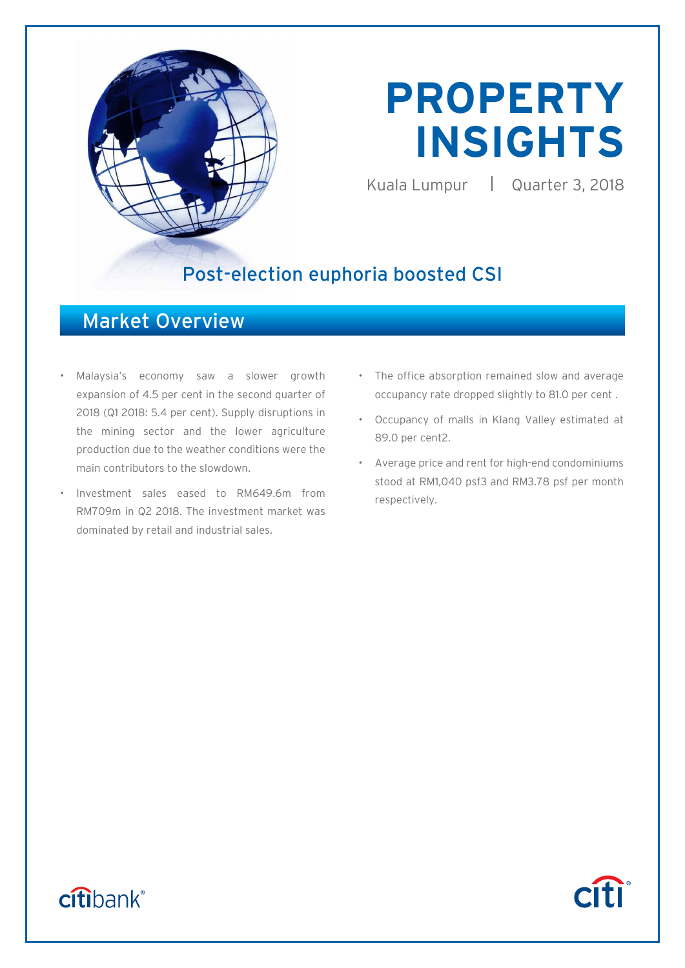

# **PROPERTY INSIGHTS**

Kuala Lumpur | Quarter 3, 2018

### Post-election euphoria boosted CSI

### Market Overview

- Malaysia's economy saw a slower growth expansion of 4.5 per cent in the second quarter of 2018 (Q1 2018: 5.4 per cent). Supply disruptions in the mining sector and the lower agriculture production due to the weather conditions were the main contributors to the slowdown.
- Investment sales eased to RM649.6m from RM709m in Q2 2018. The investment market was dominated by retail and industrial sales.
- The office absorption remained slow and average occupancy rate dropped slightly to 81.0 per cent .
- Occupancy of malls in Klang Valley estimated at 89.0 per cent2.
- Average price and rent for high-end condominiums stood at RM1,040 psf3 and RM3.78 psf per month respectively.

## citibank®

## **Citi**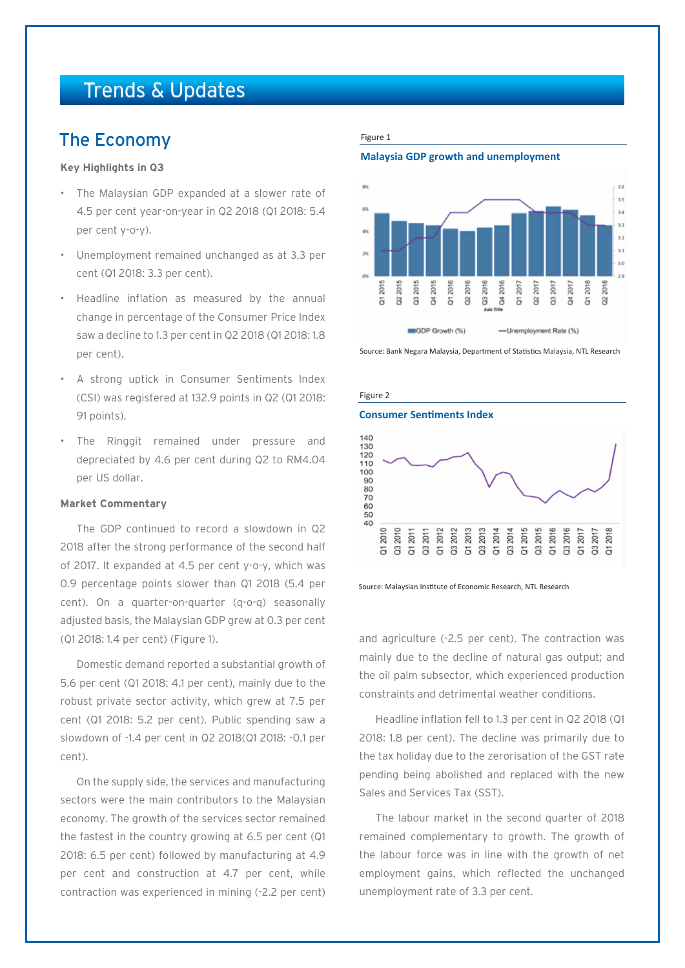### Trends & Updates

### The Economy

### **Key Highlights in Q3**

- The Malaysian GDP expanded at a slower rate of 4.5 per cent year-on-year in Q2 2018 (Q1 2018: 5.4 per cent y-o-y).
- Unemployment remained unchanged as at 3.3 per cent (Q1 2018: 3.3 per cent).
- Headline inflation as measured by the annual change in percentage of the Consumer Price Index saw a decline to 1.3 per cent in Q2 2018 (Q1 2018: 1.8 per cent).
- A strong uptick in Consumer Sentiments Index (CSI) was registered at 132.9 points in Q2 (Q1 2018: 91 points).
- The Ringgit remained under pressure and depreciated by 4.6 per cent during Q2 to RM4.04 per US dollar.

### **Market Commentary**

The GDP continued to record a slowdown in Q2 2018 after the strong performance of the second half of 2017. It expanded at 4.5 per cent y-o-y, which was 0.9 percentage points slower than Q1 2018 (5.4 per cent). On a quarter-on-quarter (q-o-q) seasonally adjusted basis, the Malaysian GDP grew at 0.3 per cent (Q1 2018: 1.4 per cent) (Figure 1).

Domestic demand reported a substantial growth of 5.6 per cent (Q1 2018: 4.1 per cent), mainly due to the robust private sector activity, which grew at 7.5 per cent (Q1 2018: 5.2 per cent). Public spending saw a slowdown of -1.4 per cent in Q2 2018(Q1 2018: -0.1 per cent).

On the supply side, the services and manufacturing sectors were the main contributors to the Malaysian economy. The growth of the services sector remained the fastest in the country growing at 6.5 per cent (Q1 2018: 6.5 per cent) followed by manufacturing at 4.9 per cent and construction at 4.7 per cent, while contraction was experienced in mining (-2.2 per cent)

#### Figure 1

**Malaysia GDP growth and unemployment**



Source: Bank Negara Malaysia, Department of Statistics Malaysia, NTL Research



Source: Malaysian Institute of Economic Research, NTL Research

and agriculture (-2.5 per cent). The contraction was mainly due to the decline of natural gas output; and the oil palm subsector, which experienced production constraints and detrimental weather conditions.

Headline inflation fell to 1.3 per cent in Q2 2018 (Q1 2018: 1.8 per cent). The decline was primarily due to the tax holiday due to the zerorisation of the GST rate pending being abolished and replaced with the new Sales and Services Tax (SST).

The labour market in the second quarter of 2018 remained complementary to growth. The growth of the labour force was in line with the growth of net employment gains, which reflected the unchanged unemployment rate of 3.3 per cent.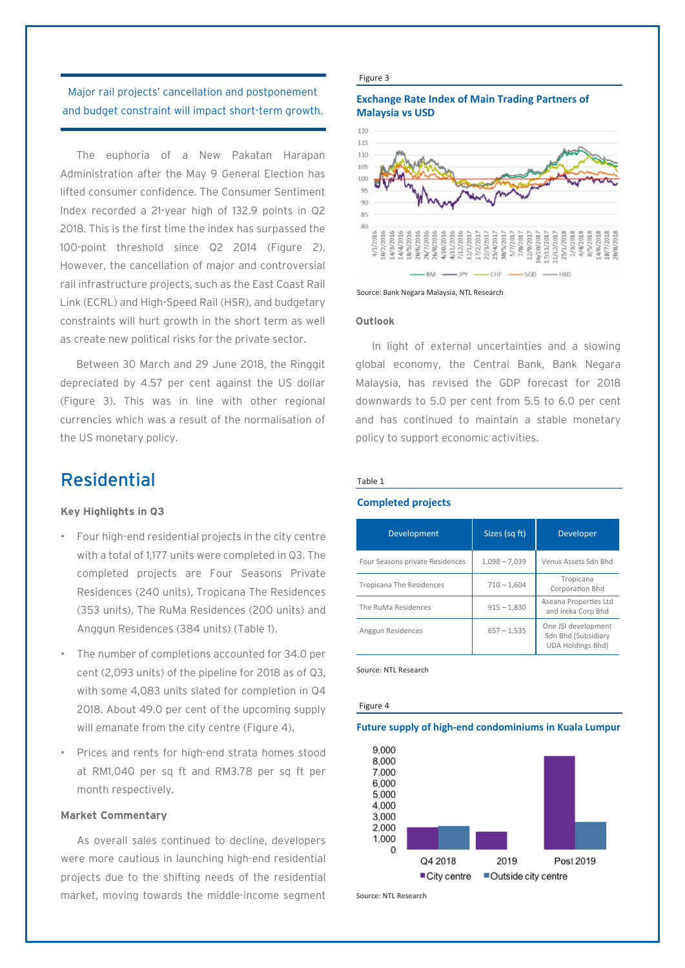### Major rail projects' cancellation and postponement and budget constraint will impact short-term growth.

The euphoria of a New Pakatan Harapan Administration after the May 9 General Election has lifted consumer confidence. The Consumer Sentiment Index recorded a 21-year high of 132.9 points in Q2 2018. This is the first time the index has surpassed the 100-point threshold since Q2 2014 (Figure 2). However, the cancellation of major and controversial rail infrastructure projects, such as the East Coast Rail Link (ECRL) and High-Speed Rail (HSR), and budgetary constraints will hurt growth in the short term as well as create new political risks for the private sector.

Between 30 March and 29 June 2018, the Ringgit depreciated by 4.57 per cent against the US dollar (Figure 3). This was in line with other regional currencies which was a result of the normalisation of the US monetary policy.

### Residential

### **Key Highlights in Q3**

- Four high-end residential projects in the city centre with a total of 1,177 units were completed in Q3. The completed projects are Four Seasons Private Residences (240 units), Tropicana The Residences (353 units), The RuMa Residences (200 units) and Anggun Residences (384 units) (Table 1).
- The number of completions accounted for 34.0 per cent (2,093 units) of the pipeline for 2018 as of Q3, with some 4,083 units slated for completion in Q4 2018. About 49.0 per cent of the upcoming supply will emanate from the city centre (Figure 4).
- Prices and rents for high-end strata homes stood at RM1,040 per sq ft and RM3.78 per sq ft per month respectively.

### **Market Commentary**

As overall sales continued to decline, developers were more cautious in launching high-end residential projects due to the shifting needs of the residential market, moving towards the middle-income segment

#### Figure 3

### **Exchange Rate Index of Main Trading Partners of Malaysia vs USD**



Source: Bank Negara Malaysia, NTL Research

### **Outlook**

In light of external uncertainties and a slowing global economy, the Central Bank, Bank Negara Malaysia, has revised the GDP forecast for 2018 downwards to 5.0 per cent from 5.5 to 6.0 per cent and has continued to maintain a stable monetary policy to support economic activities.

### Table 1

### **Completed projects**

| Development                     | Sizes (sq ft)   | <b>Developer</b>                                                       |
|---------------------------------|-----------------|------------------------------------------------------------------------|
| Four Seasons private Residences | $1,098 - 7,039$ | Venus Assets Sdn Bhd                                                   |
| <b>Tropicana The Residences</b> | $710 - 1,604$   | Tropicana<br>Corporation Bhd                                           |
| The RuMa Residences             | $915 - 1,830$   | Aseana Properties Ltd<br>and Ireka Corp Bhd                            |
| Anggun Residences               | $657 - 1,535$   | One JSI development<br>Sdn Bhd (Subsidiary<br><b>UDA Holdings Bhd)</b> |

Source: NTL Research

#### Figure 4

#### **Future supply of high-end condominiums in Kuala Lumpur**



Source: NTL Research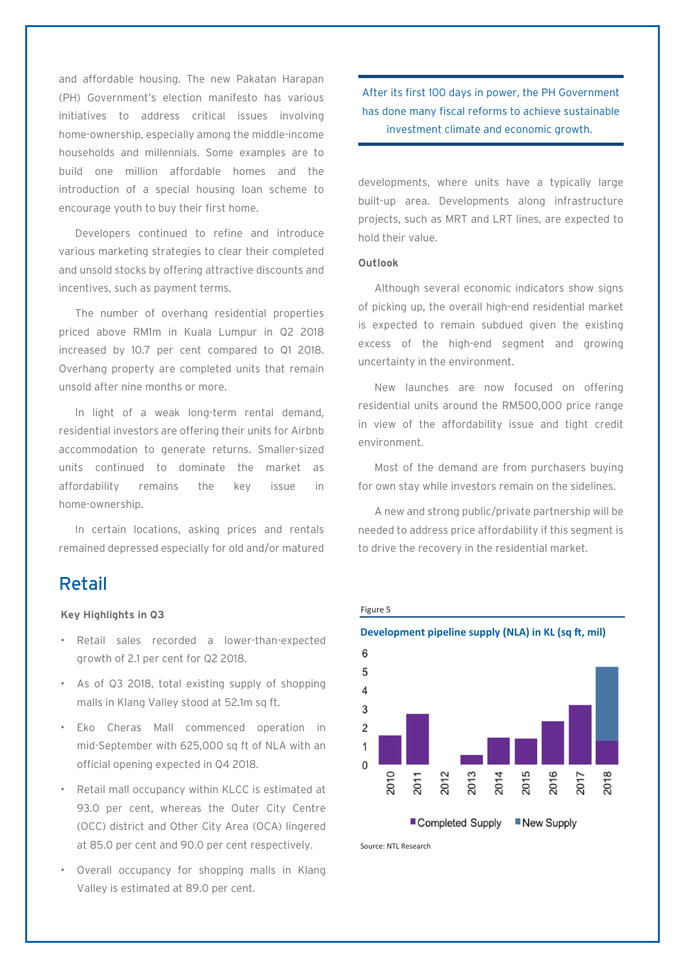and affordable housing. The new Pakatan Harapan (PH) Government's election manifesto has various initiatives to address critical issues involving home-ownership, especially among the middle-income households and millennials. Some examples are to build one million affordable homes and the introduction of a special housing loan scheme to encourage youth to buy their first home.

Developers continued to refine and introduce various marketing strategies to clear their completed and unsold stocks by offering attractive discounts and incentives, such as payment terms.

The number of overhang residential properties priced above RM1m in Kuala Lumpur in Q2 2018 increased by 10.7 per cent compared to Q1 2018. Overhang property are completed units that remain unsold after nine months or more.

In light of a weak long-term rental demand, residential investors are offering their units for Airbnb accommodation to generate returns. Smaller-sized units continued to dominate the market as affordability remains the key issue in home-ownership.

In certain locations, asking prices and rentals remained depressed especially for old and/or matured

### Retail

### **Key Highlights in Q3**

- Retail sales recorded a lower-than-expected growth of 2.1 per cent for Q2 2018.
- As of Q3 2018, total existing supply of shopping malls in Klang Valley stood at 52.1m sq ft.
- Eko Cheras Mall commenced operation in mid-September with 625,000 sq ft of NLA with an official opening expected in Q4 2018.
- Retail mall occupancy within KLCC is estimated at 93.0 per cent, whereas the Outer City Centre (OCC) district and Other City Area (OCA) lingered at 85.0 per cent and 90.0 per cent respectively.
- Overall occupancy for shopping malls in Klang Valley is estimated at 89.0 per cent.

After its first 100 days in power, the PH Government has done many fiscal reforms to achieve sustainable investment climate and economic growth.

developments, where units have a typically large built-up area. Developments along infrastructure projects, such as MRT and LRT lines, are expected to hold their value.

### **Outlook**

Although several economic indicators show signs of picking up, the overall high-end residential market is expected to remain subdued given the existing excess of the high-end segment and growing uncertainty in the environment.

New launches are now focused on offering residential units around the RM500,000 price range in view of the affordability issue and tight credit environment.

Most of the demand are from purchasers buying for own stay while investors remain on the sidelines.

A new and strong public/private partnership will be needed to address price affordability if this segment is to drive the recovery in the residential market.





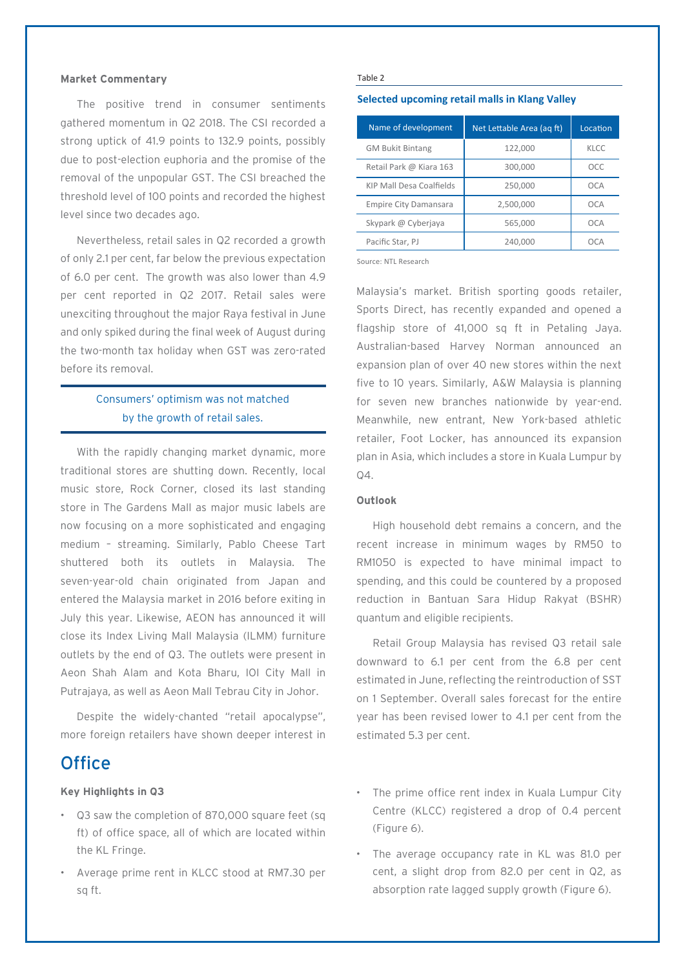### **Market Commentary**

The positive trend in consumer sentiments gathered momentum in Q2 2018. The CSI recorded a strong uptick of 41.9 points to 132.9 points, possibly due to post-election euphoria and the promise of the removal of the unpopular GST. The CSI breached the threshold level of 100 points and recorded the highest level since two decades ago.

Nevertheless, retail sales in Q2 recorded a growth of only 2.1 per cent, far below the previous expectation of 6.0 per cent. The growth was also lower than 4.9 per cent reported in Q2 2017. Retail sales were unexciting throughout the major Raya festival in June and only spiked during the final week of August during the two-month tax holiday when GST was zero-rated before its removal.

### Consumers' optimism was not matched by the growth of retail sales.

With the rapidly changing market dynamic, more traditional stores are shutting down. Recently, local music store, Rock Corner, closed its last standing store in The Gardens Mall as major music labels are now focusing on a more sophisticated and engaging medium – streaming. Similarly, Pablo Cheese Tart shuttered both its outlets in Malaysia. The seven-year-old chain originated from Japan and entered the Malaysia market in 2016 before exiting in July this year. Likewise, AEON has announced it will close its Index Living Mall Malaysia (ILMM) furniture outlets by the end of Q3. The outlets were present in Aeon Shah Alam and Kota Bharu, IOI City Mall in Putrajaya, as well as Aeon Mall Tebrau City in Johor.

Despite the widely-chanted "retail apocalypse", more foreign retailers have shown deeper interest in

### **Office**

### **Key Highlights in Q3**

- Q3 saw the completion of 870,000 square feet (sq ft) of office space, all of which are located within the KL Fringe.
- Average prime rent in KLCC stood at RM7.30 per sq ft.

#### Table 2

### **Selected upcoming retail malls in Klang Valley**

| Name of development          | Net Lettable Area (ag ft) | Location |
|------------------------------|---------------------------|----------|
| <b>GM Bukit Bintang</b>      | 122.000                   | KLCC     |
| Retail Park @ Kiara 163      | 300,000                   | OCC      |
| KIP Mall Desa Coalfields     | 250,000                   | OCA      |
| <b>Empire City Damansara</b> | 2,500,000                 | OCA      |
| Skypark @ Cyberjaya          | 565.000                   | OCA      |
| Pacific Star, PJ             | 240,000                   | OCA      |

Source: NTL Research

Malaysia's market. British sporting goods retailer, Sports Direct, has recently expanded and opened a flagship store of 41,000 sq ft in Petaling Jaya. Australian-based Harvey Norman announced an expansion plan of over 40 new stores within the next five to 10 years. Similarly, A&W Malaysia is planning for seven new branches nationwide by year-end. Meanwhile, new entrant, New York-based athletic retailer, Foot Locker, has announced its expansion plan in Asia, which includes a store in Kuala Lumpur by  $04.$ 

### **Outlook**

High household debt remains a concern, and the recent increase in minimum wages by RM50 to RM1050 is expected to have minimal impact to spending, and this could be countered by a proposed reduction in Bantuan Sara Hidup Rakyat (BSHR) quantum and eligible recipients.

Retail Group Malaysia has revised Q3 retail sale downward to 6.1 per cent from the 6.8 per cent estimated in June, reflecting the reintroduction of SST on 1 September. Overall sales forecast for the entire year has been revised lower to 4.1 per cent from the estimated 5.3 per cent.

- The prime office rent index in Kuala Lumpur City Centre (KLCC) registered a drop of 0.4 percent (Figure 6).
- The average occupancy rate in KL was 81.0 per cent, a slight drop from 82.0 per cent in Q2, as absorption rate lagged supply growth (Figure 6).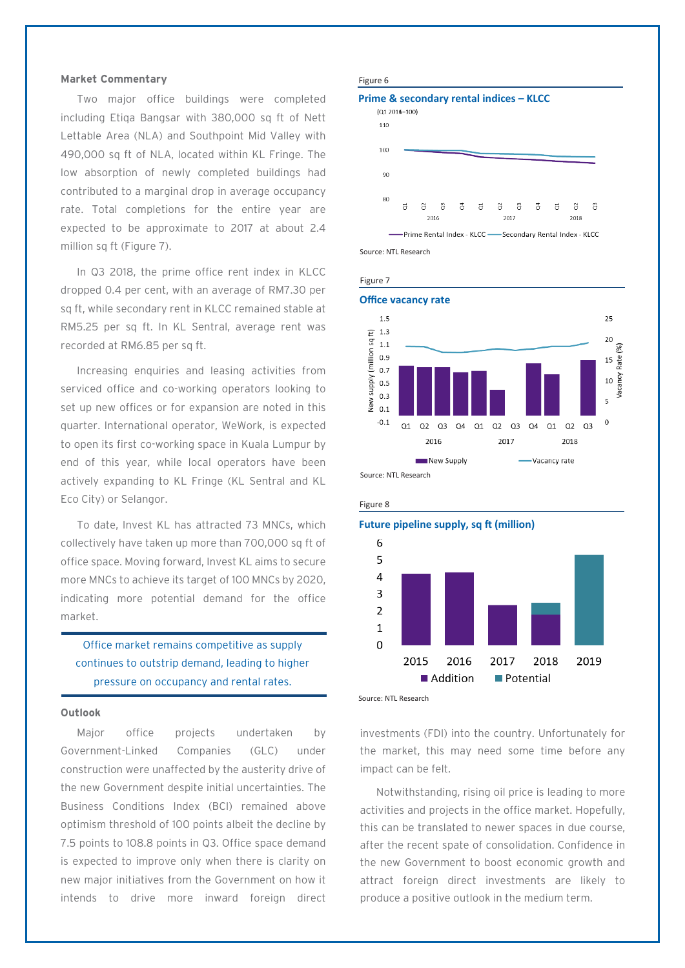### **Market Commentary**

Two major office buildings were completed including Etiqa Bangsar with 380,000 sq ft of Nett Lettable Area (NLA) and Southpoint Mid Valley with 490,000 sq ft of NLA, located within KL Fringe. The low absorption of newly completed buildings had contributed to a marginal drop in average occupancy rate. Total completions for the entire year are expected to be approximate to 2017 at about 2.4 million sq ft (Figure 7).

In Q3 2018, the prime office rent index in KLCC dropped 0.4 per cent, with an average of RM7.30 per sq ft, while secondary rent in KLCC remained stable at RM5.25 per sq ft. In KL Sentral, average rent was recorded at RM6.85 per sq ft.

Increasing enquiries and leasing activities from serviced office and co-working operators looking to set up new offices or for expansion are noted in this quarter. International operator, WeWork, is expected to open its first co-working space in Kuala Lumpur by end of this year, while local operators have been actively expanding to KL Fringe (KL Sentral and KL Eco City) or Selangor.

To date, Invest KL has attracted 73 MNCs, which collectively have taken up more than 700,000 sq ft of office space. Moving forward, Invest KL aims to secure more MNCs to achieve its target of 100 MNCs by 2020, indicating more potential demand for the office market.

Office market remains competitive as supply continues to outstrip demand, leading to higher pressure on occupancy and rental rates.

### **Outlook**

Major office projects undertaken by Government-Linked Companies (GLC) under construction were unaffected by the austerity drive of the new Government despite initial uncertainties. The Business Conditions Index (BCI) remained above optimism threshold of 100 points albeit the decline by 7.5 points to 108.8 points in Q3. Office space demand is expected to improve only when there is clarity on new major initiatives from the Government on how it intends to drive more inward foreign direct



### **Prime & secondary rental indices – KLCC**   $(Q12016=100)$



Source: NTL Research







investments (FDI) into the country. Unfortunately for the market, this may need some time before any impact can be felt.

Notwithstanding, rising oil price is leading to more activities and projects in the office market. Hopefully, this can be translated to newer spaces in due course, after the recent spate of consolidation. Confidence in the new Government to boost economic growth and attract foreign direct investments are likely to produce a positive outlook in the medium term.